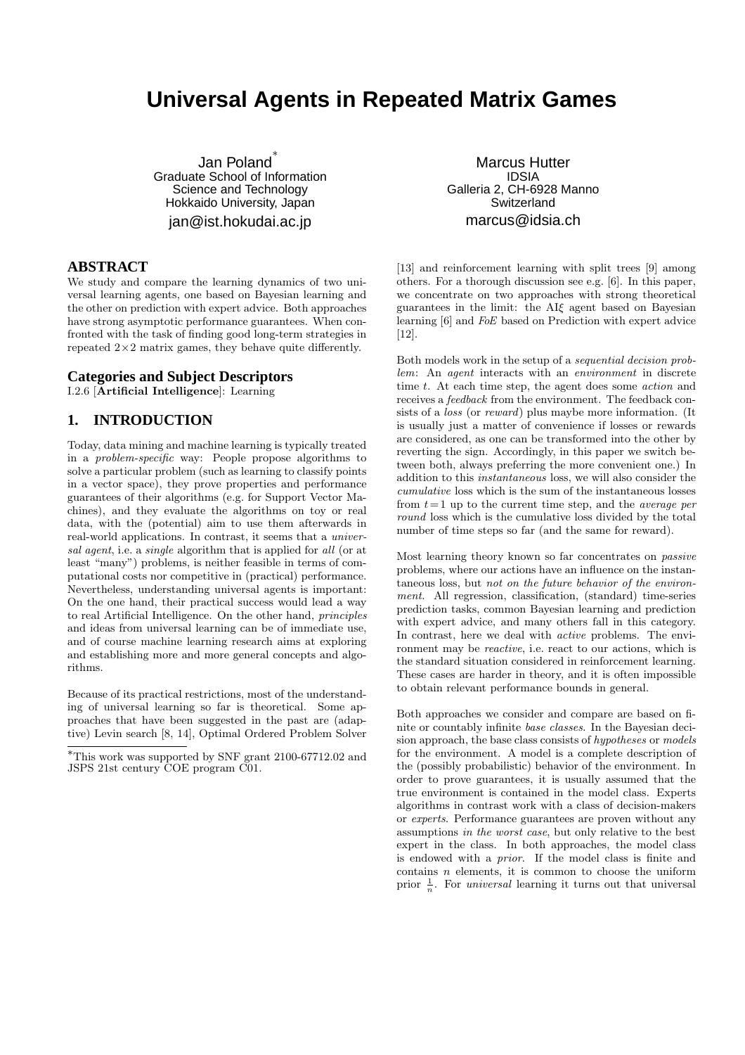# **Universal Agents in Repeated Matrix Games**

Jan Poland ∗ Graduate School of Information Science and Technology Hokkaido University, Japan jan@ist.hokudai.ac.jp

#### **ABSTRACT**

We study and compare the learning dynamics of two universal learning agents, one based on Bayesian learning and the other on prediction with expert advice. Both approaches have strong asymptotic performance guarantees. When confronted with the task of finding good long-term strategies in repeated  $2\times 2$  matrix games, they behave quite differently.

#### **Categories and Subject Descriptors**

I.2.6 [Artificial Intelligence]: Learning

# **1. INTRODUCTION**

Today, data mining and machine learning is typically treated in a problem-specific way: People propose algorithms to solve a particular problem (such as learning to classify points in a vector space), they prove properties and performance guarantees of their algorithms (e.g. for Support Vector Machines), and they evaluate the algorithms on toy or real data, with the (potential) aim to use them afterwards in real-world applications. In contrast, it seems that a universal agent, i.e. a single algorithm that is applied for all (or at least "many") problems, is neither feasible in terms of computational costs nor competitive in (practical) performance. Nevertheless, understanding universal agents is important: On the one hand, their practical success would lead a way to real Artificial Intelligence. On the other hand, principles and ideas from universal learning can be of immediate use, and of course machine learning research aims at exploring and establishing more and more general concepts and algorithms.

Because of its practical restrictions, most of the understanding of universal learning so far is theoretical. Some approaches that have been suggested in the past are (adaptive) Levin search [8, 14], Optimal Ordered Problem Solver

Marcus Hutter IDSIA Galleria 2, CH-6928 Manno Switzerland marcus@idsia.ch

[13] and reinforcement learning with split trees [9] among others. For a thorough discussion see e.g. [6]. In this paper, we concentrate on two approaches with strong theoretical guarantees in the limit: the AIξ agent based on Bayesian learning [6] and FoE based on Prediction with expert advice [12].

Both models work in the setup of a sequential decision problem: An agent interacts with an environment in discrete time t. At each time step, the agent does some *action* and receives a feedback from the environment. The feedback consists of a *loss* (or *reward*) plus maybe more information. (It is usually just a matter of convenience if losses or rewards are considered, as one can be transformed into the other by reverting the sign. Accordingly, in this paper we switch between both, always preferring the more convenient one.) In addition to this instantaneous loss, we will also consider the cumulative loss which is the sum of the instantaneous losses from  $t = 1$  up to the current time step, and the *average per* round loss which is the cumulative loss divided by the total number of time steps so far (and the same for reward).

Most learning theory known so far concentrates on passive problems, where our actions have an influence on the instantaneous loss, but not on the future behavior of the environment. All regression, classification, (standard) time-series prediction tasks, common Bayesian learning and prediction with expert advice, and many others fall in this category. In contrast, here we deal with *active* problems. The environment may be *reactive*, i.e. react to our actions, which is the standard situation considered in reinforcement learning. These cases are harder in theory, and it is often impossible to obtain relevant performance bounds in general.

Both approaches we consider and compare are based on finite or countably infinite base classes. In the Bayesian decision approach, the base class consists of hypotheses or models for the environment. A model is a complete description of the (possibly probabilistic) behavior of the environment. In order to prove guarantees, it is usually assumed that the true environment is contained in the model class. Experts algorithms in contrast work with a class of decision-makers or experts. Performance guarantees are proven without any assumptions in the worst case, but only relative to the best expert in the class. In both approaches, the model class is endowed with a prior. If the model class is finite and contains  $n$  elements, it is common to choose the uniform prior  $\frac{1}{n}$ . For *universal* learning it turns out that universal

<sup>∗</sup>This work was supported by SNF grant 2100-67712.02 and JSPS 21st century COE program C01.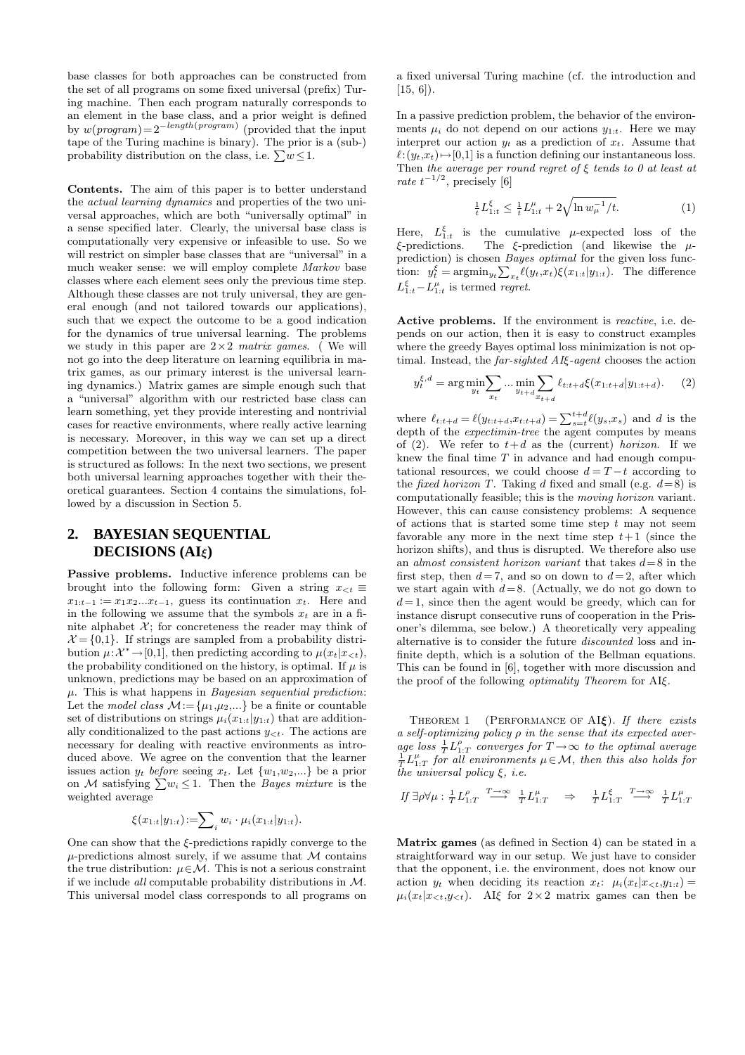base classes for both approaches can be constructed from the set of all programs on some fixed universal (prefix) Turing machine. Then each program naturally corresponds to an element in the base class, and a prior weight is defined by  $w(program) = 2^{-length(program)}$  (provided that the input tape of the Turing machine is binary). The prior is a (sub-) probability distribution on the class, i.e.  $\sum w \leq 1$ .

Contents. The aim of this paper is to better understand the actual learning dynamics and properties of the two universal approaches, which are both "universally optimal" in a sense specified later. Clearly, the universal base class is computationally very expensive or infeasible to use. So we will restrict on simpler base classes that are "universal" in a much weaker sense: we will employ complete Markov base classes where each element sees only the previous time step. Although these classes are not truly universal, they are general enough (and not tailored towards our applications), such that we expect the outcome to be a good indication for the dynamics of true universal learning. The problems we study in this paper are  $2\times 2$  matrix games. (We will not go into the deep literature on learning equilibria in matrix games, as our primary interest is the universal learning dynamics.) Matrix games are simple enough such that a "universal" algorithm with our restricted base class can learn something, yet they provide interesting and nontrivial cases for reactive environments, where really active learning is necessary. Moreover, in this way we can set up a direct competition between the two universal learners. The paper is structured as follows: In the next two sections, we present both universal learning approaches together with their theoretical guarantees. Section 4 contains the simulations, followed by a discussion in Section 5.

### **2. BAYESIAN SEQUENTIAL DECISIONS (AI**ξ**)**

Passive problems. Inductive inference problems can be brought into the following form: Given a string  $x_{\leq t} \equiv$  $x_{1:t-1} := x_1 x_2 ... x_{t-1}$ , guess its continuation  $x_t$ . Here and in the following we assume that the symbols  $x_t$  are in a finite alphabet  $X$ ; for concreteness the reader may think of  $\mathcal{X} = \{0,1\}$ . If strings are sampled from a probability distribution  $\mu: \mathcal{X}^* \to [0,1]$ , then predicting according to  $\mu(x_t|x_{\leq t}),$ the probability conditioned on the history, is optimal. If  $\mu$  is unknown, predictions may be based on an approximation of  $\mu$ . This is what happens in *Bayesian sequential prediction*: Let the *model class*  $M := {\mu_1, \mu_2,...}$  be a finite or countable set of distributions on strings  $\mu_i(x_{1:t}|y_{1:t})$  that are additionally conditionalized to the past actions  $y_{\leq t}$ . The actions are necessary for dealing with reactive environments as introduced above. We agree on the convention that the learner issues action  $y_t$  before seeing  $x_t$ . Let  $\{w_1, w_2, ...\}$  be a prior on M satisfying  $\sum w_i \leq 1$ . Then the *Bayes mixture* is the weighted average

$$
\xi(x_{1:t}|y_{1:t})\!:=\!\sum_i w_i \cdot \mu_i(x_{1:t}|y_{1:t}).
$$

One can show that the  $\xi$ -predictions rapidly converge to the  $\mu$ -predictions almost surely, if we assume that  $\mathcal M$  contains the true distribution:  $\mu \in \mathcal{M}$ . This is not a serious constraint if we include *all* computable probability distributions in  $M$ . This universal model class corresponds to all programs on

a fixed universal Turing machine (cf. the introduction and  $[15, 6]$ ).

In a passive prediction problem, the behavior of the environments  $\mu_i$  do not depend on our actions  $y_{1:t}$ . Here we may interpret our action  $y_t$  as a prediction of  $x_t$ . Assume that  $\ell:(y_t,x_t)\mapsto[0,1]$  is a function defining our instantaneous loss. Then the average per round regret of  $\xi$  tends to 0 at least at rate  $t^{-1/2}$ , precisely [6]

$$
\frac{1}{t}L_{1:t}^{\xi} \le \frac{1}{t}L_{1:t}^{\mu} + 2\sqrt{\ln w_{\mu}^{-1}/t}.
$$
 (1)

Here,  $L_{1:t}^{\xi}$  is the cumulative  $\mu$ -expected loss of the  $\xi$ -predictions. The  $\xi$ -prediction (and likewise the  $\mu$ prediction) is chosen *Bayes optimal* for the given loss function:  $y_t^{\xi} = \operatorname{argmin}_{y_t} \sum_{x_t} \ell(y_t, x_t) \xi(x_{1:t}|y_{1:t})$ . The difference  $L_{1:t}^{\xi} - L_{1:t}^{\mu}$  is termed regret.

Active problems. If the environment is *reactive*, i.e. depends on our action, then it is easy to construct examples where the greedy Bayes optimal loss minimization is not optimal. Instead, the far-sighted AIξ-agent chooses the action

$$
y_t^{\xi,d} = \arg\min_{y_t} \sum_{x_t} \dots \min_{y_{t+d}} \sum_{x_{t+d}} \ell_{t:t+d} \xi(x_{1:t+d}|y_{1:t+d}). \tag{2}
$$

where  $\ell_{t:t+d} = \ell(y_{t:t+d}, x_{t:t+d}) = \sum_{s=t}^{t+d} \ell(y_s, x_s)$  and d is the depth of the *expectimin-tree* the agent computes by means of (2). We refer to  $t+d$  as the (current) horizon. If we knew the final time  $T$  in advance and had enough computational resources, we could choose  $d = T - t$  according to the *fixed horizon T*. Taking d fixed and small (e.g.  $d=8$ ) is computationally feasible; this is the moving horizon variant. However, this can cause consistency problems: A sequence of actions that is started some time step  $t$  may not seem favorable any more in the next time step  $t+1$  (since the horizon shifts), and thus is disrupted. We therefore also use an almost consistent horizon variant that takes  $d=8$  in the first step, then  $d=7$ , and so on down to  $d=2$ , after which we start again with  $d=8$ . (Actually, we do not go down to  $d=1$ , since then the agent would be greedy, which can for instance disrupt consecutive runs of cooperation in the Prisoner's dilemma, see below.) A theoretically very appealing alternative is to consider the future discounted loss and infinite depth, which is a solution of the Bellman equations. This can be found in [6], together with more discussion and the proof of the following optimality Theorem for AIξ.

THEOREM 1 (PERFORMANCE OF AI $\xi$ ). If there exists a self-optimizing policy  $\rho$  in the sense that its expected average loss  $\frac{1}{T} L_{1:T}^{\rho}$  converges for  $T \to \infty$  to the optimal average  $\frac{1}{T}L_{1:T}^{\mu}$  for all environments  $\mu \in \mathcal{M}$ , then this also holds for the universal policy  $\xi$ , *i.e.* 

$$
\begin{array}{ccccccccc}H\ \exists\rho\forall\mu:\frac{1}{T}L_{1:T}^\rho&\stackrel{T\longrightarrow\infty}{\longrightarrow}&\frac{1}{T}L_{1:T}^\mu&\Rightarrow&\frac{1}{T}L_{1:T}^\xi&\stackrel{T\longrightarrow\infty}{\longrightarrow}&\frac{1}{T}L_{1:T}^\mu\end{array}
$$

Matrix games (as defined in Section 4) can be stated in a straightforward way in our setup. We just have to consider that the opponent, i.e. the environment, does not know our action  $y_t$  when deciding its reaction  $x_t$ :  $\mu_i(x_t|x_{\leq t}, y_{1:t}) =$  $\mu_i(x_t|x_{< t},y_{< t})$ . AI $\xi$  for  $2\times 2$  matrix games can then be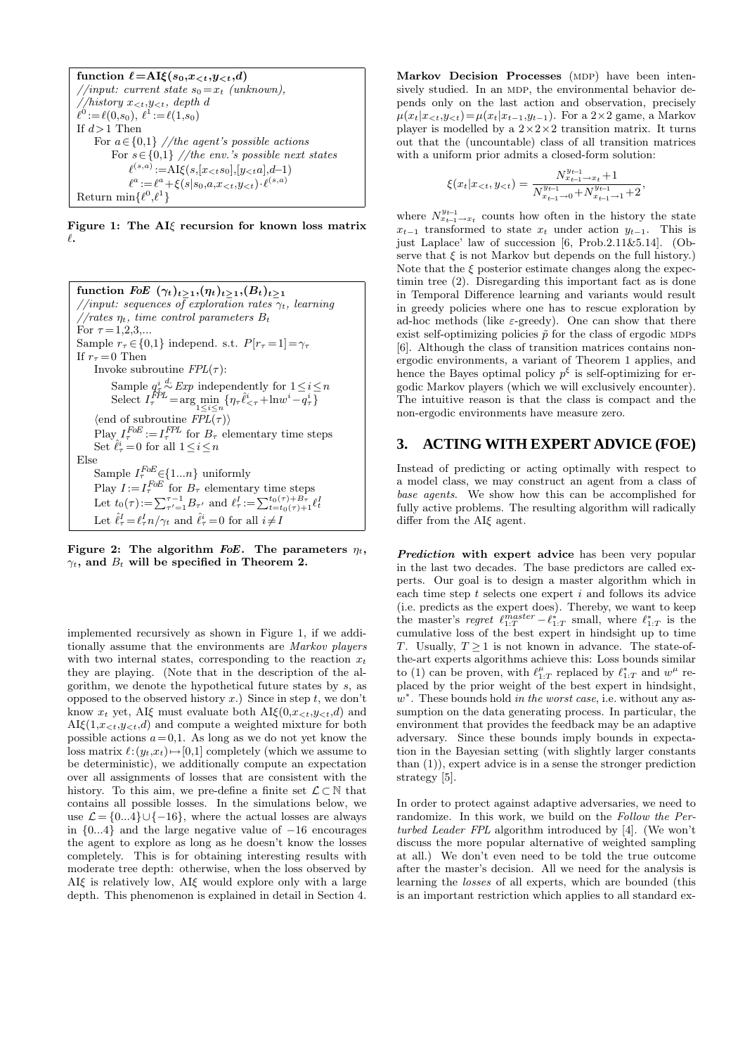function  $\ell = A I \xi(s_0, x_{\leq t}, y_{\leq t}, d)$ //input: current state  $s_0 = x_t$  (unknown), //history  $x_{\leq t}, y_{\leq t}$ , depth d  $\ell^0 := \ell(0,s_0), \; \ell^1 := \ell(1,s_0)$ If  $d\!>\!1$  Then For  $a \in \{0,1\}$  //the agent's possible actions For  $s \in \{0,1\}$  //the env.'s possible next states  $\ell^{(s,a)}:=A\text{I}\xi(s,[x_{< t}s_0],[y_{< t}a],d-1)$  $\ell^a \! :=\! \ell^a \! +\! \xi(s|s_0,a,\!x_{$ Return min $\{\ell^0, \ell^1\}$ 

Figure 1: The AIξ recursion for known loss matrix  $\ell.$ 

function FoE  $(\gamma_t)_{t\geq 1}, (\eta_t)_{t\geq 1}, (B_t)_{t\geq 1}$ //input: sequences of exploration rates  $\gamma_t$ , learning  $1/rates \eta_t$ , time control parameters  $B_t$ For  $\tau = 1, 2, 3, ...$ Sample  $r_{\tau} \in \{0,1\}$  independ. s.t.  $P[r_{\tau}=1]=\gamma_{\tau}$ If  $r_{\tau} = 0$  Then Invoke subroutine  $FPL(\tau)$ : Sample  $q^i_{\tau} \stackrel{d}{\sim} Exp$  independently for  $1 \leq i \leq n$ Select  $I_{\tau}^{\dot{FPL}} = \arg\min_{1 \leq i \leq n} \{ \eta_{\tau} \hat{\ell}_{\leq \tau}^i + \ln w^i - q_{\tau}^i \}$  $\langle$ end of subroutine  $FPL(\tau)$ Play  $I_{\tau}^{FoE} := I_{\tau}^{FPL}$  for  $B_{\tau}$  elementary time steps Set  $\hat{\ell}_\tau^i = 0$  for all  $1 \leq i \leq n$ Else Sample  $I_{\tau}^{FoE}$   $\in$  {1...*n*} uniformly Play  $I := I_{\tau}^{F \circ E}$  for  $B_{\tau}$  elementary time steps<br>Let  $t_0(\tau) := \sum_{\tau'=1}^{\tau-1} B_{\tau'}$  and  $\ell_{\tau}^I := \sum_{t=t_0(\tau)+1}^{t_0(\tau)+B_{\tau}} \ell_t^I$ Let  $\hat{\ell}_{\tau}^{I} = \ell_{\tau}^{I} n / \gamma_t$  and  $\hat{\ell}_{\tau}^{i} = 0$  for all  $i \neq I$ 

Figure 2: The algorithm FoE. The parameters  $\eta_t$ ,  $\gamma_t$ , and  $B_t$  will be specified in Theorem 2.

implemented recursively as shown in Figure 1, if we additionally assume that the environments are Markov players with two internal states, corresponding to the reaction  $x_t$ they are playing. (Note that in the description of the algorithm, we denote the hypothetical future states by s, as opposed to the observed history  $x$ .) Since in step  $t$ , we don't know  $x_t$  yet, AI $\xi$  must evaluate both AI $\xi(0, x_{\leq t}, y_{\leq t}, d)$  and  $AI\xi(1,x_{<};y_{<};d)$  and compute a weighted mixture for both possible actions  $a = 0,1$ . As long as we do not yet know the loss matrix  $\ell:(y_t,x_t)\mapsto[0,1]$  completely (which we assume to be deterministic), we additionally compute an expectation over all assignments of losses that are consistent with the history. To this aim, we pre-define a finite set  $\mathcal{L} \subset \mathbb{N}$  that contains all possible losses. In the simulations below, we use  $\mathcal{L} = \{0...\overline{4}\} \cup \{-16\}$ , where the actual losses are always in {0...4} and the large negative value of −16 encourages the agent to explore as long as he doesn't know the losses completely. This is for obtaining interesting results with moderate tree depth: otherwise, when the loss observed by  $AI\xi$  is relatively low,  $AI\xi$  would explore only with a large depth. This phenomenon is explained in detail in Section 4.

Markov Decision Processes (MDP) have been intensively studied. In an MDP, the environmental behavior depends only on the last action and observation, precisely  $\mu(x_t|x_{<};y_{<})=\mu(x_t|x_{t-1},y_{t-1})$ . For a 2×2 game, a Markov player is modelled by a  $2 \times 2 \times 2$  transition matrix. It turns out that the (uncountable) class of all transition matrices with a uniform prior admits a closed-form solution:

$$
\xi(x_t|x_{<}; y_{<}) = \frac{N_{x_{t-1}\to x_t}^{y_{t-1}\to x_t} + 1}{N_{x_{t-1}\to 0}^{y_{t-1}} + N_{x_{t-1}\to 1}^{y_{t-1}} + 2},
$$

where  $N_{x_{t-1}\to x_t}^{y_{t-1}}$  counts how often in the history the state  $x_{t-1}$  transformed to state  $x_t$  under action  $y_{t-1}$ . This is just Laplace' law of succession [6, Prob.2.11&5.14]. (Observe that  $\xi$  is not Markov but depends on the full history.) Note that the  $\xi$  posterior estimate changes along the expectimin tree (2). Disregarding this important fact as is done in Temporal Difference learning and variants would result in greedy policies where one has to rescue exploration by ad-hoc methods (like  $\varepsilon$ -greedy). One can show that there exist self-optimizing policies  $\tilde{p}$  for the class of ergodic MDPs [6]. Although the class of transition matrices contains nonergodic environments, a variant of Theorem 1 applies, and hence the Bayes optimal policy  $p^{\xi}$  is self-optimizing for ergodic Markov players (which we will exclusively encounter). The intuitive reason is that the class is compact and the non-ergodic environments have measure zero.

#### **3. ACTING WITH EXPERT ADVICE (FOE)**

Instead of predicting or acting optimally with respect to a model class, we may construct an agent from a class of base agents. We show how this can be accomplished for fully active problems. The resulting algorithm will radically differ from the  $AI\xi$  agent.

Prediction with expert advice has been very popular in the last two decades. The base predictors are called experts. Our goal is to design a master algorithm which in each time step  $t$  selects one expert  $i$  and follows its advice (i.e. predicts as the expert does). Thereby, we want to keep the master's regret  $\ell_{1:T}^{master} - \ell_{1:T}^{*}$  small, where  $\ell_{1:T}^{*}$  is the cumulative loss of the best expert in hindsight up to time T. Usually,  $T \geq 1$  is not known in advance. The state-ofthe-art experts algorithms achieve this: Loss bounds similar to (1) can be proven, with  $\ell^{\mu}_{1:T}$  replaced by  $\ell^*_{1:T}$  and  $w^{\mu}$  replaced by the prior weight of the best expert in hindsight,  $w^*$ . These bounds hold in the worst case, i.e. without any assumption on the data generating process. In particular, the environment that provides the feedback may be an adaptive adversary. Since these bounds imply bounds in expectation in the Bayesian setting (with slightly larger constants than (1)), expert advice is in a sense the stronger prediction strategy [5].

In order to protect against adaptive adversaries, we need to randomize. In this work, we build on the Follow the Perturbed Leader FPL algorithm introduced by [4]. (We won't discuss the more popular alternative of weighted sampling at all.) We don't even need to be told the true outcome after the master's decision. All we need for the analysis is learning the losses of all experts, which are bounded (this is an important restriction which applies to all standard ex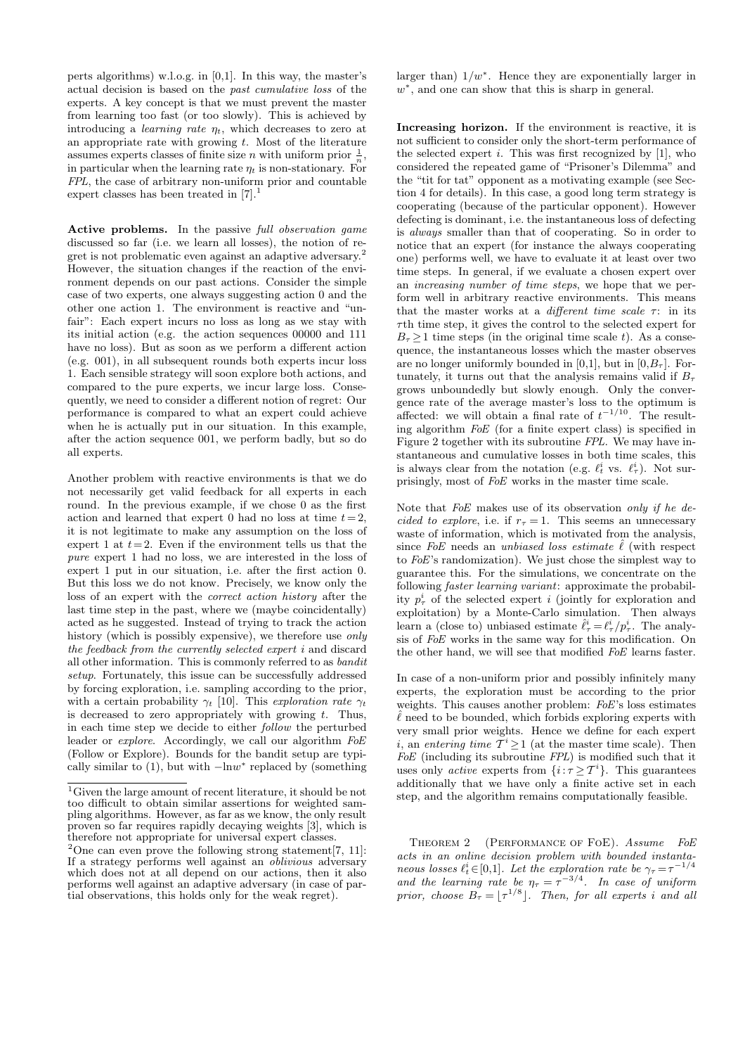perts algorithms) w.l.o.g. in [0,1]. In this way, the master's actual decision is based on the past cumulative loss of the experts. A key concept is that we must prevent the master from learning too fast (or too slowly). This is achieved by introducing a *learning rate*  $\eta_t$ , which decreases to zero at an appropriate rate with growing  $t$ . Most of the literature assumes experts classes of finite size *n* with uniform prior  $\frac{1}{n}$ , in particular when the learning rate  $\eta_t$  is non-stationary. For FPL, the case of arbitrary non-uniform prior and countable expert classes has been treated in  $[7].^1$ 

Active problems. In the passive full observation game discussed so far (i.e. we learn all losses), the notion of regret is not problematic even against an adaptive adversary.<sup>2</sup> However, the situation changes if the reaction of the environment depends on our past actions. Consider the simple case of two experts, one always suggesting action 0 and the other one action 1. The environment is reactive and "unfair": Each expert incurs no loss as long as we stay with its initial action (e.g. the action sequences 00000 and 111 have no loss). But as soon as we perform a different action (e.g. 001), in all subsequent rounds both experts incur loss 1. Each sensible strategy will soon explore both actions, and compared to the pure experts, we incur large loss. Consequently, we need to consider a different notion of regret: Our performance is compared to what an expert could achieve when he is actually put in our situation. In this example, after the action sequence 001, we perform badly, but so do all experts.

Another problem with reactive environments is that we do not necessarily get valid feedback for all experts in each round. In the previous example, if we chose 0 as the first action and learned that expert 0 had no loss at time  $t=2$ . it is not legitimate to make any assumption on the loss of expert 1 at  $t=2$ . Even if the environment tells us that the pure expert 1 had no loss, we are interested in the loss of expert 1 put in our situation, i.e. after the first action 0. But this loss we do not know. Precisely, we know only the loss of an expert with the correct action history after the last time step in the past, where we (maybe coincidentally) acted as he suggested. Instead of trying to track the action history (which is possibly expensive), we therefore use only the feedback from the currently selected expert i and discard all other information. This is commonly referred to as bandit setup. Fortunately, this issue can be successfully addressed by forcing exploration, i.e. sampling according to the prior, with a certain probability  $\gamma_t$  [10]. This exploration rate  $\gamma_t$ is decreased to zero appropriately with growing  $t$ . Thus, in each time step we decide to either follow the perturbed leader or *explore*. Accordingly, we call our algorithm  $FoE$ (Follow or Explore). Bounds for the bandit setup are typically similar to  $(1)$ , but with  $-\ln w^*$  replaced by (something

larger than)  $1/w^*$ . Hence they are exponentially larger in  $w^*$ , and one can show that this is sharp in general.

Increasing horizon. If the environment is reactive, it is not sufficient to consider only the short-term performance of the selected expert  $i$ . This was first recognized by [1], who considered the repeated game of "Prisoner's Dilemma" and the "tit for tat" opponent as a motivating example (see Section 4 for details). In this case, a good long term strategy is cooperating (because of the particular opponent). However defecting is dominant, i.e. the instantaneous loss of defecting is always smaller than that of cooperating. So in order to notice that an expert (for instance the always cooperating one) performs well, we have to evaluate it at least over two time steps. In general, if we evaluate a chosen expert over an increasing number of time steps, we hope that we perform well in arbitrary reactive environments. This means that the master works at a different time scale  $\tau$ : in its  $\tau$ th time step, it gives the control to the selected expert for  $B<sub>\tau</sub>$  > 1 time steps (in the original time scale t). As a consequence, the instantaneous losses which the master observes are no longer uniformly bounded in [0,1], but in  $[0,B<sub>\tau</sub>]$ . Fortunately, it turns out that the analysis remains valid if  $B_{\tau}$ grows unboundedly but slowly enough. Only the convergence rate of the average master's loss to the optimum is affected: we will obtain a final rate of  $t^{-1/10}$ . The resulting algorithm FoE (for a finite expert class) is specified in Figure 2 together with its subroutine FPL. We may have instantaneous and cumulative losses in both time scales, this is always clear from the notation (e.g.  $\ell_t^i$  vs.  $\ell_{\tau}^i$ ). Not surprisingly, most of FoE works in the master time scale.

Note that FoE makes use of its observation only if he decided to explore, i.e. if  $r<sub>\tau</sub> = 1$ . This seems an unnecessary waste of information, which is motivated from the analysis, since FoE needs an unbiased loss estimate  $\ell$  (with respect to FoE's randomization). We just chose the simplest way to guarantee this. For the simulations, we concentrate on the following *faster learning variant*: approximate the probability  $p_{\tau}^{i}$  of the selected expert i (jointly for exploration and exploitation) by a Monte-Carlo simulation. Then always learn a (close to) unbiased estimate  $\hat{\ell}^i_\tau = \ell^i_\tau / p^i_\tau$ . The analysis of FoE works in the same way for this modification. On the other hand, we will see that modified FoE learns faster.

In case of a non-uniform prior and possibly infinitely many experts, the exploration must be according to the prior weights. This causes another problem: FoE's loss estimates  $\hat{\ell}$  need to be bounded, which forbids exploring experts with very small prior weights. Hence we define for each expert *i*, an entering time  $\overline{T}^i \geq 1$  (at the master time scale). Then FoE (including its subroutine FPL) is modified such that it uses only *active* experts from  $\{i : \tau \geq T^i\}$ . This guarantees additionally that we have only a finite active set in each step, and the algorithm remains computationally feasible.

THEOREM 2 (PERFORMANCE OF FOE). Assume FoE acts in an online decision problem with bounded instantaneous losses  $\ell_t^i \in [0,1]$ . Let the exploration rate be  $\gamma_\tau = \tau^{-1/4}$ and the learning rate be  $\eta_{\tau} = \tau^{-3/4}$ . In case of uniform prior, choose  $B_{\tau} = \lfloor \tau^{1/8} \rfloor$ . Then, for all experts i and all

<sup>&</sup>lt;sup>1</sup>Given the large amount of recent literature, it should be not too difficult to obtain similar assertions for weighted sampling algorithms. However, as far as we know, the only result proven so far requires rapidly decaying weights [3], which is therefore not appropriate for universal expert classes.

<sup>&</sup>lt;sup>2</sup>One can even prove the following strong statement<sup>[7, 11]:</sup> If a strategy performs well against an oblivious adversary which does not at all depend on our actions, then it also performs well against an adaptive adversary (in case of partial observations, this holds only for the weak regret).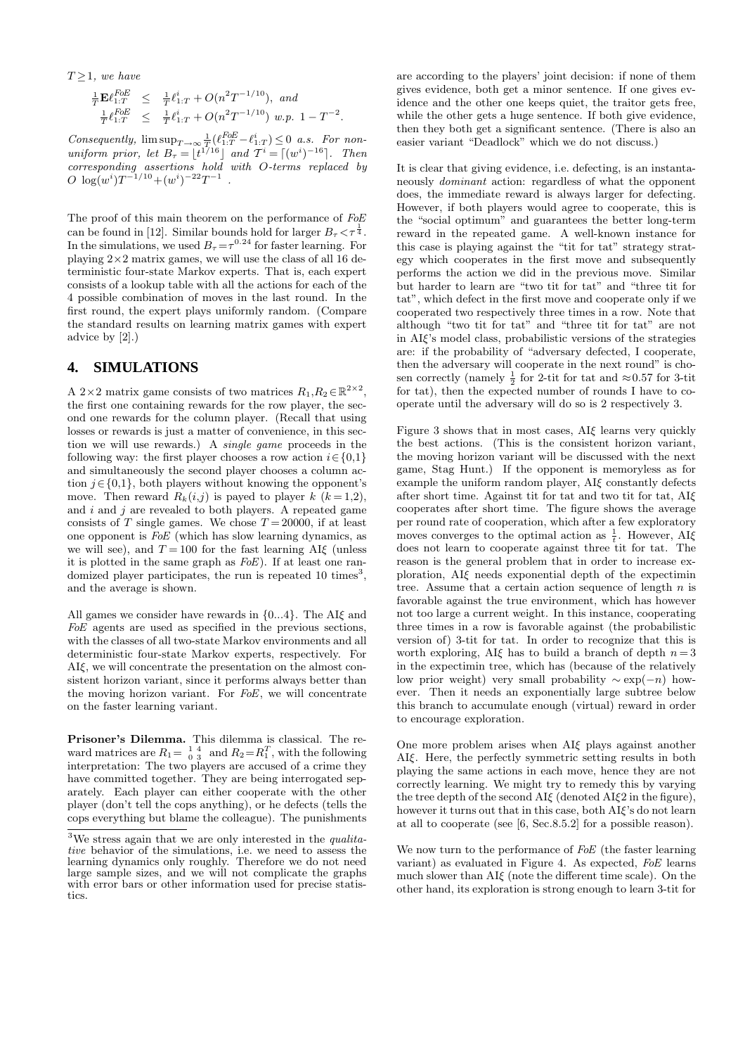$T \geq 1$ , we have

$$
\frac{\frac{1}{T}\mathbf{E}\ell_{1:T}^{FoE}}{\frac{1}{T}\ell_{1:T}^{FoE}} \leq \frac{\frac{1}{T}\ell_{1:T}^{i} + O(n^{2}T^{-1/10}), \text{ and } \frac{1}{T}\ell_{1:T}^{FoE}}{\frac{1}{T}\ell_{1:T}^{i} + O(n^{2}T^{-1/10}) \text{ w.p. } 1 - T^{-2}.
$$

Consequently,  $\limsup_{T\to\infty} \frac{1}{T}(\ell_{1:T}^{FoE} - \ell_{1:T}^i) \leq 0$  a.s. For nonuniform prior, let  $B_{\tau} = \lfloor t^{1/16} \rfloor$  and  $\mathcal{T}^i = \lceil (w^i)^{-16} \rceil$ . Then corresponding assertions hold with O-terms replaced by  $O \log(w^{i}) T^{-1/10} + (w^{i})^{-22} T^{-1}$ .

The proof of this main theorem on the performance of  $FoE$ can be found in [12]. Similar bounds hold for larger  $B_{\tau} < \tau^{\frac{1}{4}}$ . In the simulations, we used  $B_{\tau} = \tau^{0.24}$  for faster learning. For playing  $2\times 2$  matrix games, we will use the class of all 16 deterministic four-state Markov experts. That is, each expert consists of a lookup table with all the actions for each of the 4 possible combination of moves in the last round. In the first round, the expert plays uniformly random. (Compare the standard results on learning matrix games with expert advice by [2].)

#### **4. SIMULATIONS**

A 2×2 matrix game consists of two matrices  $R_1, R_2 \in \mathbb{R}^{2 \times 2}$ , the first one containing rewards for the row player, the second one rewards for the column player. (Recall that using losses or rewards is just a matter of convenience, in this section we will use rewards.) A single game proceeds in the following way: the first player chooses a row action  $i \in \{0,1\}$ and simultaneously the second player chooses a column action  $j \in \{0,1\}$ , both players without knowing the opponent's move. Then reward  $R_k(i,j)$  is payed to player k  $(k = 1,2)$ , and  $i$  and  $j$  are revealed to both players. A repeated game consists of T single games. We chose  $T = 20000$ , if at least one opponent is FoE (which has slow learning dynamics, as we will see), and  $T = 100$  for the fast learning AI $\xi$  (unless it is plotted in the same graph as FoE). If at least one randomized player participates, the run is repeated 10 times<sup>3</sup>, and the average is shown.

All games we consider have rewards in  ${0...4}$ . The AI $\epsilon$  and FoE agents are used as specified in the previous sections, with the classes of all two-state Markov environments and all deterministic four-state Markov experts, respectively. For AIξ, we will concentrate the presentation on the almost consistent horizon variant, since it performs always better than the moving horizon variant. For FoE, we will concentrate on the faster learning variant.

Prisoner's Dilemma. This dilemma is classical. The reward matrices are  $R_1 = \begin{bmatrix} 1 & 4 \\ 0 & 3 \end{bmatrix}$  and  $R_2 = R_1^T$ , with the following interpretation: The two players are accused of a crime they have committed together. They are being interrogated separately. Each player can either cooperate with the other player (don't tell the cops anything), or he defects (tells the cops everything but blame the colleague). The punishments

are according to the players' joint decision: if none of them gives evidence, both get a minor sentence. If one gives evidence and the other one keeps quiet, the traitor gets free, while the other gets a huge sentence. If both give evidence, then they both get a significant sentence. (There is also an easier variant "Deadlock" which we do not discuss.)

It is clear that giving evidence, i.e. defecting, is an instantaneously dominant action: regardless of what the opponent does, the immediate reward is always larger for defecting. However, if both players would agree to cooperate, this is the "social optimum" and guarantees the better long-term reward in the repeated game. A well-known instance for this case is playing against the "tit for tat" strategy strategy which cooperates in the first move and subsequently performs the action we did in the previous move. Similar but harder to learn are "two tit for tat" and "three tit for tat", which defect in the first move and cooperate only if we cooperated two respectively three times in a row. Note that although "two tit for tat" and "three tit for tat" are not in AIξ's model class, probabilistic versions of the strategies are: if the probability of "adversary defected, I cooperate, then the adversary will cooperate in the next round" is chosen correctly (namely  $\frac{1}{2}$  for 2-tit for tat and  $\approx 0.57$  for 3-tit for tat), then the expected number of rounds I have to cooperate until the adversary will do so is 2 respectively 3.

Figure 3 shows that in most cases, AIξ learns very quickly the best actions. (This is the consistent horizon variant, the moving horizon variant will be discussed with the next game, Stag Hunt.) If the opponent is memoryless as for example the uniform random player, AIξ constantly defects after short time. Against tit for tat and two tit for tat, AIξ cooperates after short time. The figure shows the average per round rate of cooperation, which after a few exploratory moves converges to the optimal action as  $\frac{1}{t}$ . However, AI $\xi$ does not learn to cooperate against three tit for tat. The reason is the general problem that in order to increase exploration, AIξ needs exponential depth of the expectimin tree. Assume that a certain action sequence of length  $n$  is favorable against the true environment, which has however not too large a current weight. In this instance, cooperating three times in a row is favorable against (the probabilistic version of) 3-tit for tat. In order to recognize that this is worth exploring, AI $\xi$  has to build a branch of depth  $n=3$ in the expectimin tree, which has (because of the relatively low prior weight) very small probability  $\sim \exp(-n)$  however. Then it needs an exponentially large subtree below this branch to accumulate enough (virtual) reward in order to encourage exploration.

One more problem arises when AIξ plays against another AIξ. Here, the perfectly symmetric setting results in both playing the same actions in each move, hence they are not correctly learning. We might try to remedy this by varying the tree depth of the second  $AI\xi$  (denoted  $AI\xi2$  in the figure), however it turns out that in this case, both  $\text{AI}\xi$ 's do not learn at all to cooperate (see [6, Sec.8.5.2] for a possible reason).

We now turn to the performance of FoE (the faster learning variant) as evaluated in Figure 4. As expected, FoE learns much slower than  $\overline{A}I\xi$  (note the different time scale). On the other hand, its exploration is strong enough to learn 3-tit for

 $3$ We stress again that we are only interested in the *qualita*tive behavior of the simulations, i.e. we need to assess the learning dynamics only roughly. Therefore we do not need large sample sizes, and we will not complicate the graphs with error bars or other information used for precise statistics.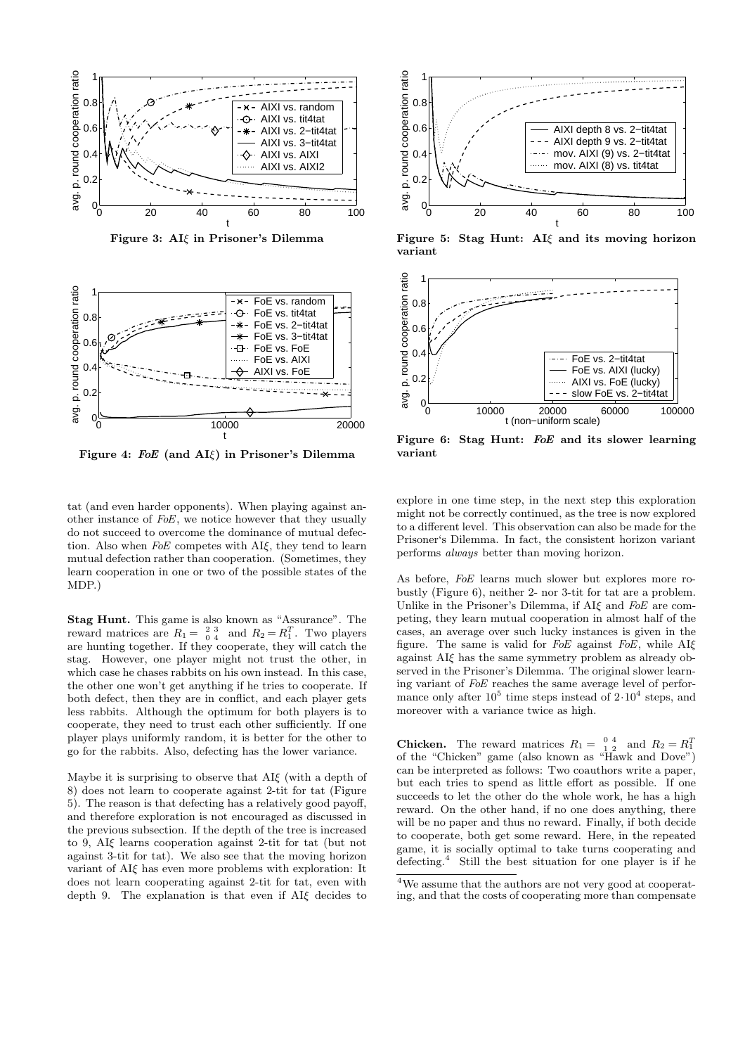

Figure 3: AIξ in Prisoner's Dilemma



Figure 4: FoE (and AIξ) in Prisoner's Dilemma

tat (and even harder opponents). When playing against another instance of FoE, we notice however that they usually do not succeed to overcome the dominance of mutual defection. Also when FoE competes with AIξ, they tend to learn mutual defection rather than cooperation. (Sometimes, they learn cooperation in one or two of the possible states of the MDP.)

Stag Hunt. This game is also known as "Assurance". The reward matrices are  $R_1 = \begin{array}{cc} 2 & 3 \\ 0 & 4 \end{array}$  and  $R_2 = R_1^T$ . Two players are hunting together. If they cooperate, they will catch the stag. However, one player might not trust the other, in which case he chases rabbits on his own instead. In this case, the other one won't get anything if he tries to cooperate. If both defect, then they are in conflict, and each player gets less rabbits. Although the optimum for both players is to cooperate, they need to trust each other sufficiently. If one player plays uniformly random, it is better for the other to go for the rabbits. Also, defecting has the lower variance.

Maybe it is surprising to observe that  $\overline{A}I\zeta$  (with a depth of 8) does not learn to cooperate against 2-tit for tat (Figure 5). The reason is that defecting has a relatively good payoff, and therefore exploration is not encouraged as discussed in the previous subsection. If the depth of the tree is increased to 9, AIξ learns cooperation against 2-tit for tat (but not against 3-tit for tat). We also see that the moving horizon variant of AIξ has even more problems with exploration: It does not learn cooperating against 2-tit for tat, even with depth 9. The explanation is that even if AIξ decides to



Figure 5: Stag Hunt: AIξ and its moving horizon variant



Figure 6: Stag Hunt: FoE and its slower learning variant

explore in one time step, in the next step this exploration might not be correctly continued, as the tree is now explored to a different level. This observation can also be made for the Prisoner's Dilemma. In fact, the consistent horizon variant performs always better than moving horizon.

As before, FoE learns much slower but explores more robustly (Figure 6), neither 2- nor 3-tit for tat are a problem. Unlike in the Prisoner's Dilemma, if AI $\xi$  and FoE are competing, they learn mutual cooperation in almost half of the cases, an average over such lucky instances is given in the figure. The same is valid for  $F$ oE against  $F$ oE, while AI $\xi$ against AIξ has the same symmetry problem as already observed in the Prisoner's Dilemma. The original slower learning variant of FoE reaches the same average level of performance only after  $10^5$  time steps instead of  $2 \cdot 10^4$  steps, and moreover with a variance twice as high.

**Chicken.** The reward matrices  $R_1 = \begin{bmatrix} 0 & 4 \\ 1 & 2 \end{bmatrix}$  and  $R_2 = R_1^T$ of the "Chicken" game (also known as "Hawk and Dove") can be interpreted as follows: Two coauthors write a paper, but each tries to spend as little effort as possible. If one succeeds to let the other do the whole work, he has a high reward. On the other hand, if no one does anything, there will be no paper and thus no reward. Finally, if both decide to cooperate, both get some reward. Here, in the repeated game, it is socially optimal to take turns cooperating and defecting.<sup>4</sup> Still the best situation for one player is if he

<sup>4</sup>We assume that the authors are not very good at cooperating, and that the costs of cooperating more than compensate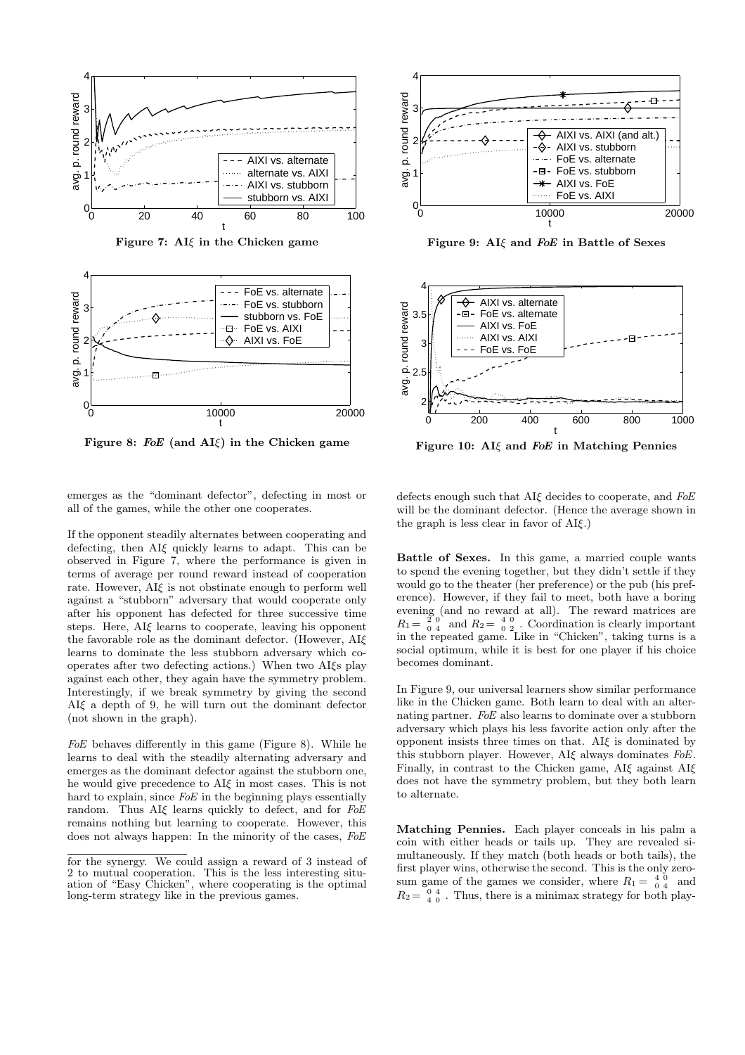

Figure 7:  $AI\xi$  in the Chicken game



Figure 8: FoE (and  $AI\xi$ ) in the Chicken game



If the opponent steadily alternates between cooperating and defecting, then AIξ quickly learns to adapt. This can be observed in Figure 7, where the performance is given in terms of average per round reward instead of cooperation rate. However, AIξ is not obstinate enough to perform well against a "stubborn" adversary that would cooperate only after his opponent has defected for three successive time steps. Here, AIξ learns to cooperate, leaving his opponent the favorable role as the dominant defector. (However, AIξ learns to dominate the less stubborn adversary which cooperates after two defecting actions.) When two AIξs play against each other, they again have the symmetry problem. Interestingly, if we break symmetry by giving the second AIξ a depth of 9, he will turn out the dominant defector (not shown in the graph).

FoE behaves differently in this game (Figure 8). While he learns to deal with the steadily alternating adversary and emerges as the dominant defector against the stubborn one, he would give precedence to AIξ in most cases. This is not hard to explain, since FoE in the beginning plays essentially random. Thus AIξ learns quickly to defect, and for FoE remains nothing but learning to cooperate. However, this does not always happen: In the minority of the cases, FoE



Figure 9: AI $\xi$  and FoE in Battle of Sexes



Figure 10: AI $\xi$  and FoE in Matching Pennies

defects enough such that AI $\xi$  decides to cooperate, and FoE will be the dominant defector. (Hence the average shown in the graph is less clear in favor of AIξ.)

Battle of Sexes. In this game, a married couple wants to spend the evening together, but they didn't settle if they would go to the theater (her preference) or the pub (his preference). However, if they fail to meet, both have a boring evening (and no reward at all). The reward matrices are<br> $P = \frac{20 \text{ and } P}{\sqrt{2}}$  and  $P = \frac{40}{\sqrt{2}}$  Coordination is clearly important  $R_1 = \begin{matrix} 2 & 0 \\ 0 & 4 \end{matrix}$  and  $R_2 = \begin{matrix} 4 & 0 \\ 0 & 2 \end{matrix}$ . Coordination is clearly important in the repeated game. Like in "Chicken", taking turns is a social optimum, while it is best for one player if his choice becomes dominant.

In Figure 9, our universal learners show similar performance like in the Chicken game. Both learn to deal with an alternating partner. FoE also learns to dominate over a stubborn adversary which plays his less favorite action only after the opponent insists three times on that. AI $\xi$  is dominated by this stubborn player. However, AIξ always dominates FoE. Finally, in contrast to the Chicken game, AIξ against AIξ does not have the symmetry problem, but they both learn to alternate.

Matching Pennies. Each player conceals in his palm a coin with either heads or tails up. They are revealed simultaneously. If they match (both heads or both tails), the first player wins, otherwise the second. This is the only zerosum game of the games we consider, where  $R_1 = \begin{smallmatrix} 4 & 0 \\ 0 & 4 \end{smallmatrix}$  and  $R_2 = \begin{smallmatrix} 0 & 4 \\ 4 & 0 \end{smallmatrix}$ . Thus, there is a minimax strategy for both play-

for the synergy. We could assign a reward of 3 instead of 2 to mutual cooperation. This is the less interesting situation of "Easy Chicken", where cooperating is the optimal long-term strategy like in the previous games.